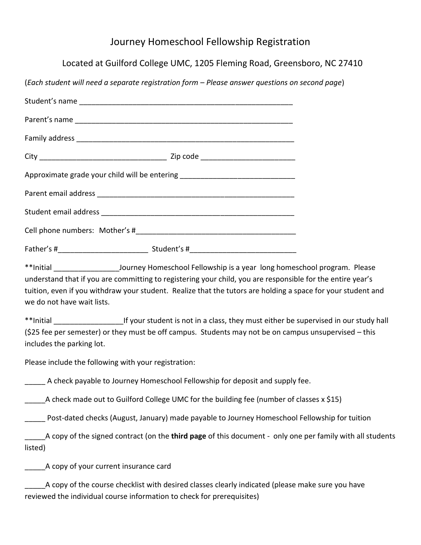## Journey Homeschool Fellowship Registration

Located at Guilford College UMC, 1205 Fleming Road, Greensboro, NC 27410

(*Each student will need a separate registration form – Please answer questions on second page*)

| Approximate grade your child will be entering __________________________________                            |  |
|-------------------------------------------------------------------------------------------------------------|--|
|                                                                                                             |  |
|                                                                                                             |  |
|                                                                                                             |  |
|                                                                                                             |  |
|                                                                                                             |  |
| understand that if you are committing to registering your child, you are responsible for the entire year's  |  |
| tuition avon if you withdraw your student. Boalize that the tutors are holding a space for your student and |  |

tuition, even if you withdraw your student. Realize that the tutors are holding a space for your student and we do not have wait lists.

\*\*Initial **the supervised in our student is not in a class, they must either be supervised in our study hall** (\$25 fee per semester) or they must be off campus. Students may not be on campus unsupervised – this includes the parking lot.

Please include the following with your registration:

A check payable to Journey Homeschool Fellowship for deposit and supply fee.

A check made out to Guilford College UMC for the building fee (number of classes x \$15)

\_\_\_\_\_ Post-dated checks (August, January) made payable to Journey Homeschool Fellowship for tuition

\_\_\_\_\_A copy of the signed contract (on the **third page** of this document - only one per family with all students listed)

\_\_\_\_\_A copy of your current insurance card

A copy of the course checklist with desired classes clearly indicated (please make sure you have reviewed the individual course information to check for prerequisites)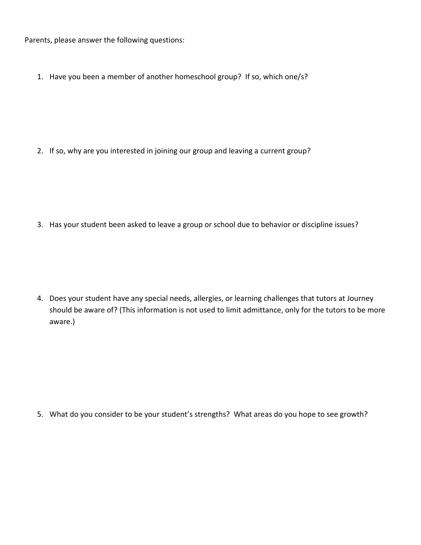Parents, please answer the following questions:

1. Have you been a member of another homeschool group? If so, which one/s?

2. If so, why are you interested in joining our group and leaving a current group?

3. Has your student been asked to leave a group or school due to behavior or discipline issues?

4. Does your student have any special needs, allergies, or learning challenges that tutors at Journey should be aware of? (This information is not used to limit admittance, only for the tutors to be more aware.)

5. What do you consider to be your student's strengths? What areas do you hope to see growth?